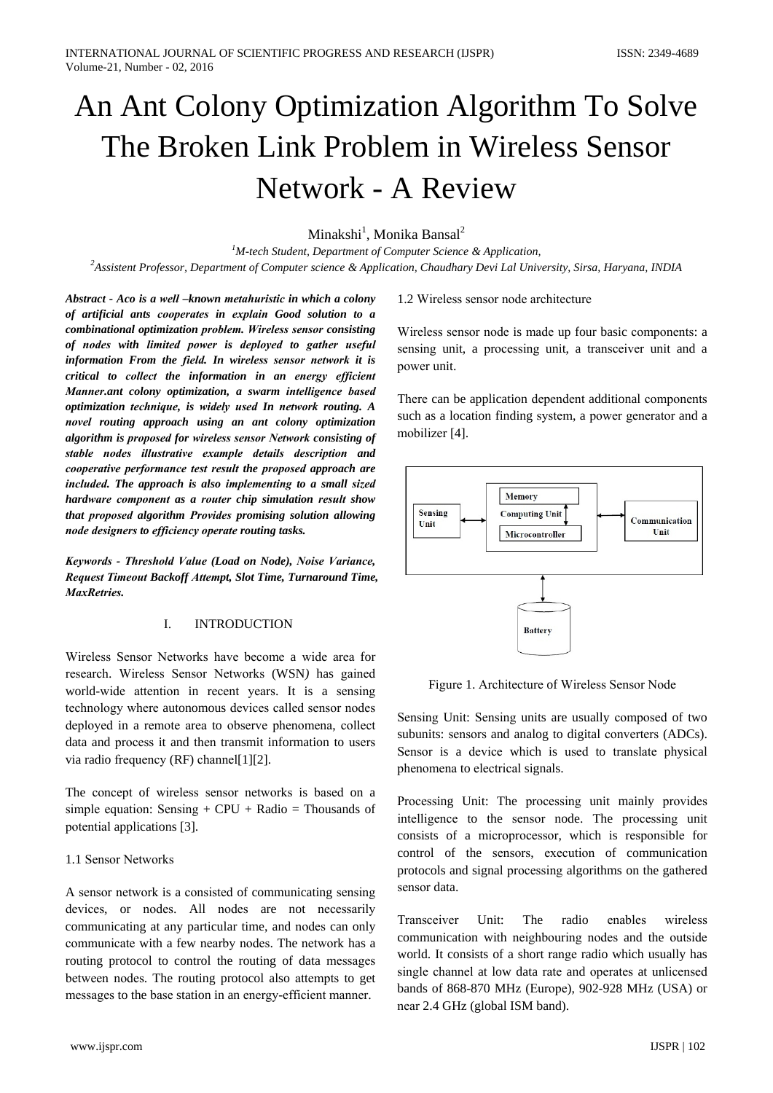# An Ant Colony Optimization Algorithm To Solve The Broken Link Problem in Wireless Sensor **Network - A Review**

# Minakshi<sup>1</sup>, Monika Bansal<sup>2</sup>

<sup>1</sup>M-tech Student, Department of Computer Science & Application, <sup>2</sup>Assistent Professor, Department of Computer science & Application, Chaudhary Devi Lal University, Sirsa, Haryana, INDIA

Abstract - Aco is a well -known metahuristic in which a colony of artificial ants cooperates in explain Good solution to a combinational optimization problem. Wireless sensor consisting of nodes with limited power is deployed to gather useful information From the field. In wireless sensor network it is critical to collect the information in an energy efficient Manner.ant colony optimization, a swarm intelligence based optimization technique, is widely used In network routing. A novel routing approach using an ant colony optimization algorithm is proposed for wireless sensor Network consisting of stable nodes illustrative example details description and cooperative performance test result the proposed approach are included. The approach is also implementing to a small sized hardware component as a router chip simulation result show that proposed algorithm Provides promising solution allowing node designers to efficiency operate routing tasks.

Keywords - Threshold Value (Load on Node), Noise Variance, Request Timeout Backoff Attempt, Slot Time, Turnaround Time, MaxRetries.

#### $\mathbf{I}$ **INTRODUCTION**

Wireless Sensor Networks have become a wide area for research. Wireless Sensor Networks (WSN) has gained world-wide attention in recent years. It is a sensing technology where autonomous devices called sensor nodes deployed in a remote area to observe phenomena, collect data and process it and then transmit information to users via radio frequency (RF) channel[1][2].

The concept of wireless sensor networks is based on a simple equation: Sensing +  $CPU$  + Radio = Thousands of potential applications [3].

## 1.1 Sensor Networks

A sensor network is a consisted of communicating sensing devices, or nodes. All nodes are not necessarily communicating at any particular time, and nodes can only communicate with a few nearby nodes. The network has a routing protocol to control the routing of data messages between nodes. The routing protocol also attempts to get messages to the base station in an energy-efficient manner.

## 1.2 Wireless sensor node architecture

Wireless sensor node is made up four basic components: a sensing unit, a processing unit, a transceiver unit and a power unit.

There can be application dependent additional components such as a location finding system, a power generator and a mobilizer [4].



Figure 1. Architecture of Wireless Sensor Node

Sensing Unit: Sensing units are usually composed of two subunits: sensors and analog to digital converters (ADCs). Sensor is a device which is used to translate physical phenomena to electrical signals.

Processing Unit: The processing unit mainly provides intelligence to the sensor node. The processing unit consists of a microprocessor, which is responsible for control of the sensors, execution of communication protocols and signal processing algorithms on the gathered sensor data.

Transceiver Unit: The radio enables wireless communication with neighbouring nodes and the outside world. It consists of a short range radio which usually has single channel at low data rate and operates at unlicensed bands of 868-870 MHz (Europe), 902-928 MHz (USA) or near 2.4 GHz (global ISM band).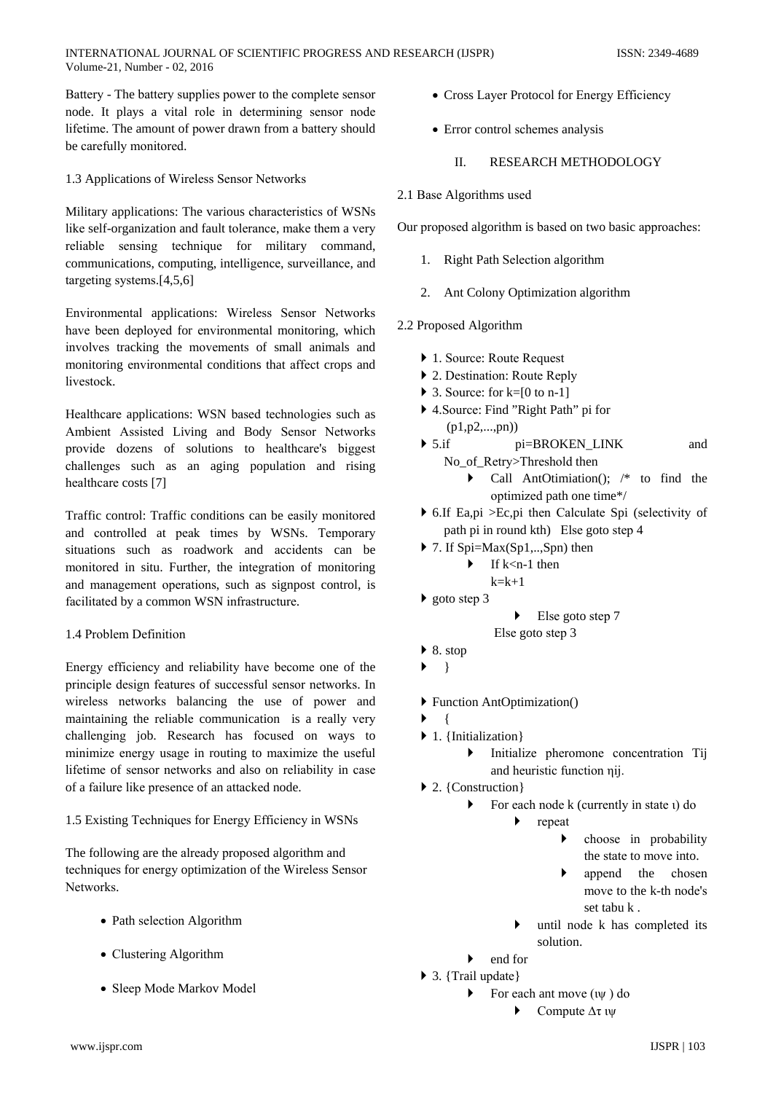Battery - The battery supplies power to the complete sensor node. It plays a vital role in determining sensor node lifetime. The amount of power drawn from a battery should be carefully monitored.

1.3 Applications of Wireless Sensor Networks

Military applications: The various characteristics of WSNs like self-organization and fault tolerance, make them a very reliable sensing technique for military command, communications, computing, intelligence, surveillance, and targeting systems. $[4.5.6]$ 

Environmental applications: Wireless Sensor Networks have been deployed for environmental monitoring, which involves tracking the movements of small animals and monitoring environmental conditions that affect crops and livestock.

Healthcare applications: WSN based technologies such as Ambient Assisted Living and Body Sensor Networks provide dozens of solutions to healthcare's biggest challenges such as an aging population and rising healthcare costs [7]

Traffic control: Traffic conditions can be easily monitored and controlled at peak times by WSNs. Temporary situations such as roadwork and accidents can be monitored in situ. Further, the integration of monitoring and management operations, such as signpost control, is facilitated by a common WSN infrastructure.

## 1.4 Problem Definition

Energy efficiency and reliability have become one of the principle design features of successful sensor networks. In wireless networks balancing the use of power and maintaining the reliable communication is a really very challenging job. Research has focused on ways to minimize energy usage in routing to maximize the useful lifetime of sensor networks and also on reliability in case of a failure like presence of an attacked node.

## 1.5 Existing Techniques for Energy Efficiency in WSNs

The following are the already proposed algorithm and techniques for energy optimization of the Wireless Sensor Networks.

- Path selection Algorithm
- Clustering Algorithm
- Sleep Mode Markov Model
- Cross Laver Protocol for Energy Efficiency
- Error control schemes analysis

#### $\mathbf{H}$ **RESEARCH METHODOLOGY**

2.1 Base Algorithms used

Our proposed algorithm is based on two basic approaches:

- 1. Right Path Selection algorithm
- 2. Ant Colony Optimization algorithm

# 2.2 Proposed Algorithm

- ▶ 1. Source: Route Request
- 2. Destination: Route Reply
- $\triangleright$  3. Source: for k=[0 to n-1]
- ▶ 4. Source: Find "Right Path" pi for  $(p1,p2,...,pn))$
- $\triangleright$  5.if pi=BROKEN\_LINK and No\_of\_Retry>Threshold then
	- Call AntOtimiation();  $/*$  to find the optimized path one time\*/
- $\triangleright$  6. If Ea, pi > Ec, pi then Calculate Spi (selectivity of path pi in round kth) Else goto step 4
- $\triangleright$  7. If Spi=Max(Sp1,..,Spn) then
	- $\blacktriangleright$  If k < n-1 then
		- $k=k+1$
- $\triangleright$  goto step 3
- $\blacktriangleright$  Else goto step 7
- Else goto step 3
- $\triangleright$  8. stop
- $\left\{\right\}$  $\blacktriangleright$
- ▶ Function AntOptimization()
- $\overline{A}$
- $\blacktriangleright$  1. {Initialization}
	- $\blacktriangleright$ Initialize pheromone concentration Tij and heuristic function nij.
- $\triangleright$  2. {Construction}
	- For each node k (currently in state 1) do  $\blacktriangleright$ 
		- $\blacktriangleright$ repeat
			- choose in probability  $\blacktriangleright$ the state to move into.
			- $\blacktriangleright$ append the chosen move to the k-th node's set tabu k.
		- until node k has completed its solution.
	- end for  $\blacktriangleright$
- $\triangleright$  3. {Trail update}
	- For each ant move  $(i\psi)$  do
		- $\blacktriangleright$ Compute  $\Delta \tau$   $\psi$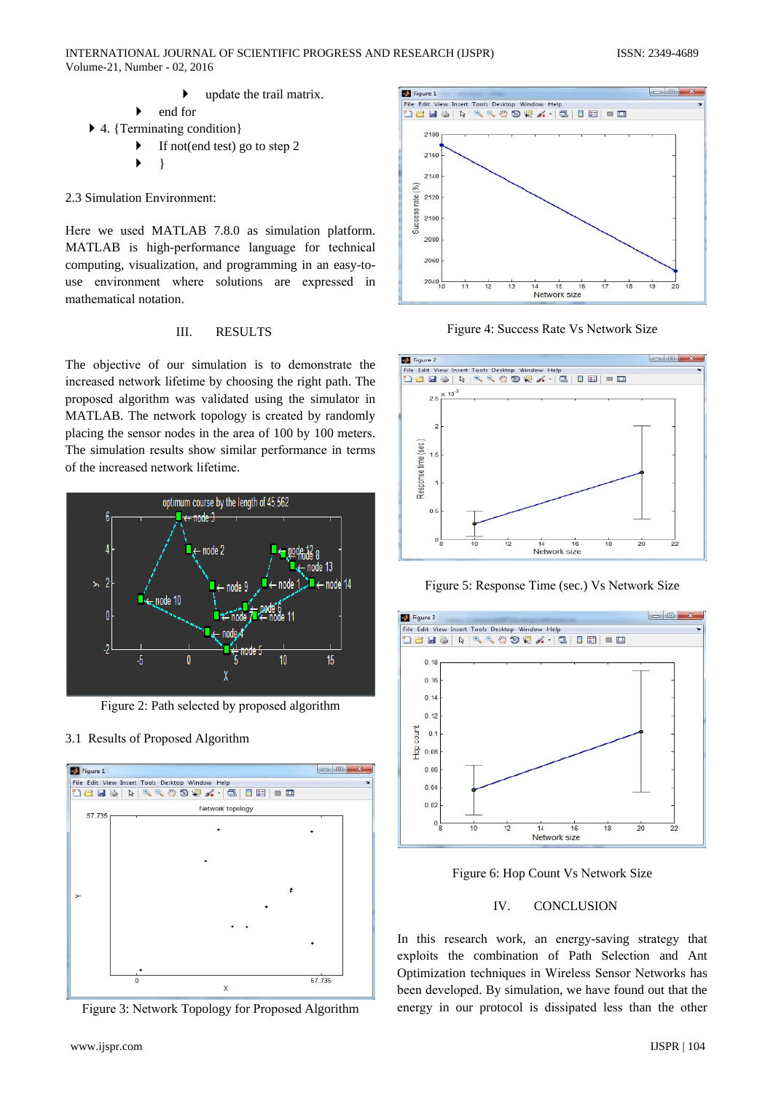- update the trail matrix. end for
- $\triangleright$  4. {Terminating condition}
	- $\blacktriangleright$ If not(end test) go to step 2
		- ļ

2.3 Simulation Environment:

Here we used MATLAB 7.8.0 as simulation platform. MATLAB is high-performance language for technical computing, visualization, and programming in an easy-touse environment where solutions are expressed in mathematical notation.

#### III. **RESULTS**

The objective of our simulation is to demonstrate the increased network lifetime by choosing the right path. The proposed algorithm was validated using the simulator in MATLAB. The network topology is created by randomly placing the sensor nodes in the area of 100 by 100 meters. The simulation results show similar performance in terms of the increased network lifetime.



Figure 2: Path selected by proposed algorithm

## 3.1 Results of Proposed Algorithm



Figure 3: Network Topology for Proposed Algorithm



Figure 4: Success Rate Vs Network Size



Figure 5: Response Time (sec.) Vs Network Size



Figure 6: Hop Count Vs Network Size

#### IV. **CONCLUSION**

In this research work, an energy-saving strategy that exploits the combination of Path Selection and Ant Optimization techniques in Wireless Sensor Networks has been developed. By simulation, we have found out that the energy in our protocol is dissipated less than the other